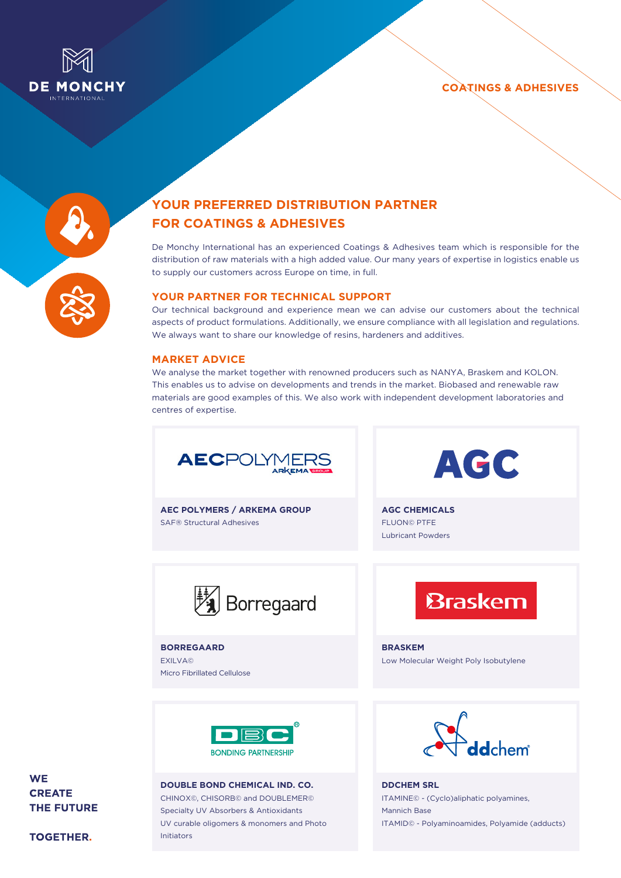





# **YOUR PREFERRED DISTRIBUTION PARTNER FOR COATINGS & ADHESIVES**

De Monchy International has an experienced Coatings & Adhesives team which is responsible for the distribution of raw materials with a high added value. Our many years of expertise in logistics enable us to supply our customers across Europe on time, in full.

## **Your partner for technical support**

Our technical background and experience mean we can advise our customers about the technical aspects of product formulations. Additionally, we ensure compliance with all legislation and regulations. We always want to share our knowledge of resins, hardeners and additives.

### **Market advice**

We analyse the market together with renowned producers such as NANYA, Braskem and KOLON. This enables us to advise on developments and trends in the market. Biobased and renewable raw materials are good examples of this. We also work with independent development laboratories and centres of expertise.



**AEC POLYMERS / ARKEMA GROUP** SAF® Structural Adhesives

AGC

**AGC CHEMICALS** FLUON© PTFE Lubricant Powders



**Borregaard** EXILVA© Micro Fibrillated Cellulose **Braskem** 

**BRASKEM** Low Molecular Weight Poly Isobutylene



**DOUBLE BOND CHEMICAL IND. CO.** CHINOX©, CHISORB© and DOUBLEMER© Specialty UV Absorbers & Antioxidants UV curable oligomers & monomers and Photo Initiators



**DDCHEM SRL** ITAMINE© - (Cyclo)aliphatic polyamines, Mannich Base ITAMID© - Polyaminoamides, Polyamide (adducts)

# **WE CREATE THE FUTURE**

**TOGETHER.**